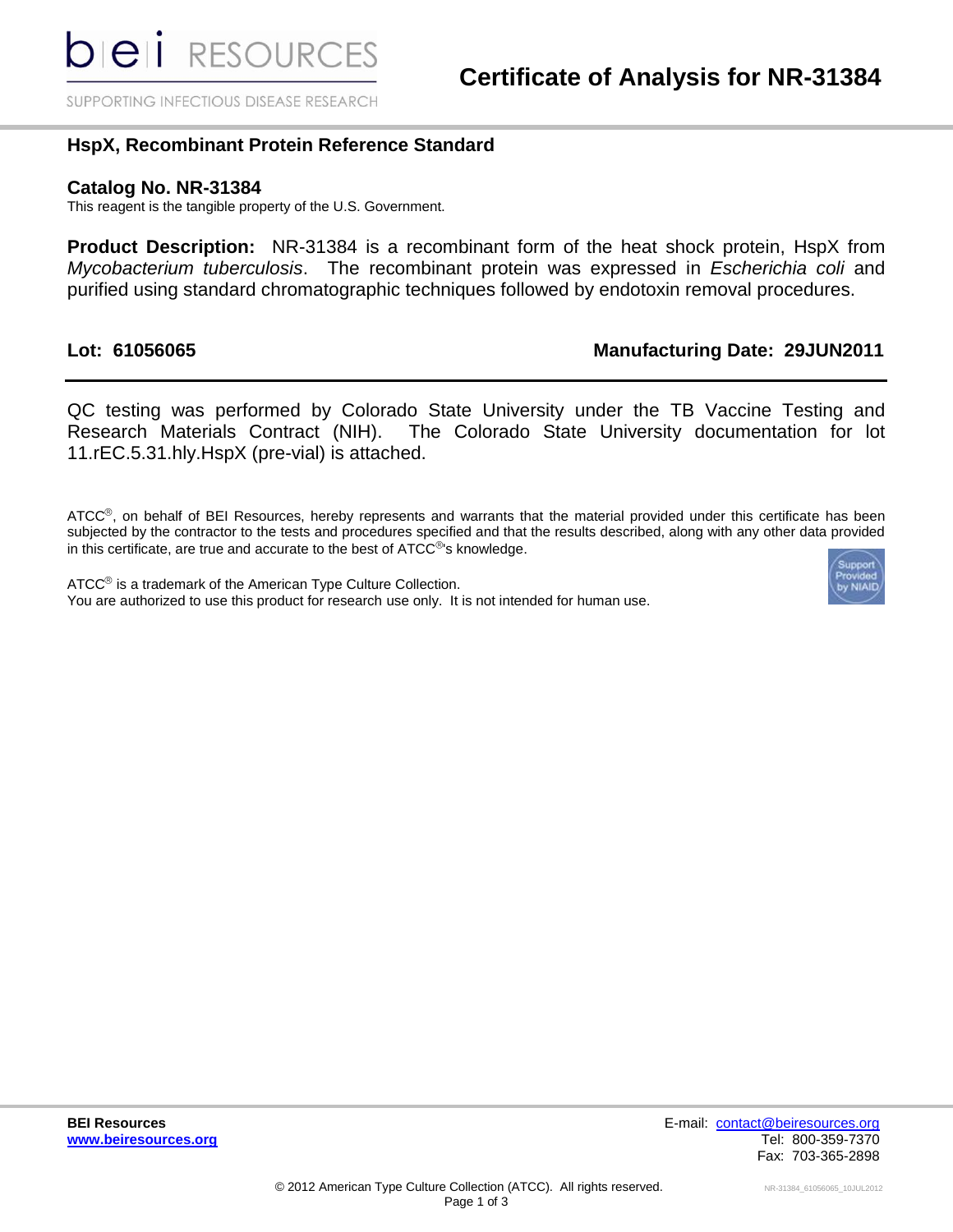SUPPORTING INFECTIOUS DISEASE RESEARCH

## **HspX, Recombinant Protein Reference Standard**

#### **Catalog No. NR-31384**

This reagent is the tangible property of the U.S. Government.

 **Product Description:** NR-31384 is a recombinant form of the heat shock protein, HspX from *Mycobacterium tuberculosis*. The recombinant protein was expressed in *Escherichia coli* and purified using standard chromatographic techniques followed by endotoxin removal procedures.

## Lot: 61056065

## **Lot: 61056065 Manufacturing Date: 29JUN2011**

 QC testing was performed by Colorado State University under the TB Vaccine Testing and Research Materials Contract (NIH). The Colorado State University documentation for lot 11.rEC.5.31.hly.HspX (pre-vial) is attached.

ATCC<sup>®</sup>, on behalf of BEI Resources, hereby represents and warrants that the material provided under this certificate has been subjected by the contractor to the tests and procedures specified and that the results described, along with any other data provided in this certificate, are true and accurate to the best of  $ATCC^{\circledcirc}$ 's knowledge.

 You are authorized to use this product for research use only. It is not intended for human use.  $ATCC<sup>®</sup>$  is a trademark of the American Type Culture Collection.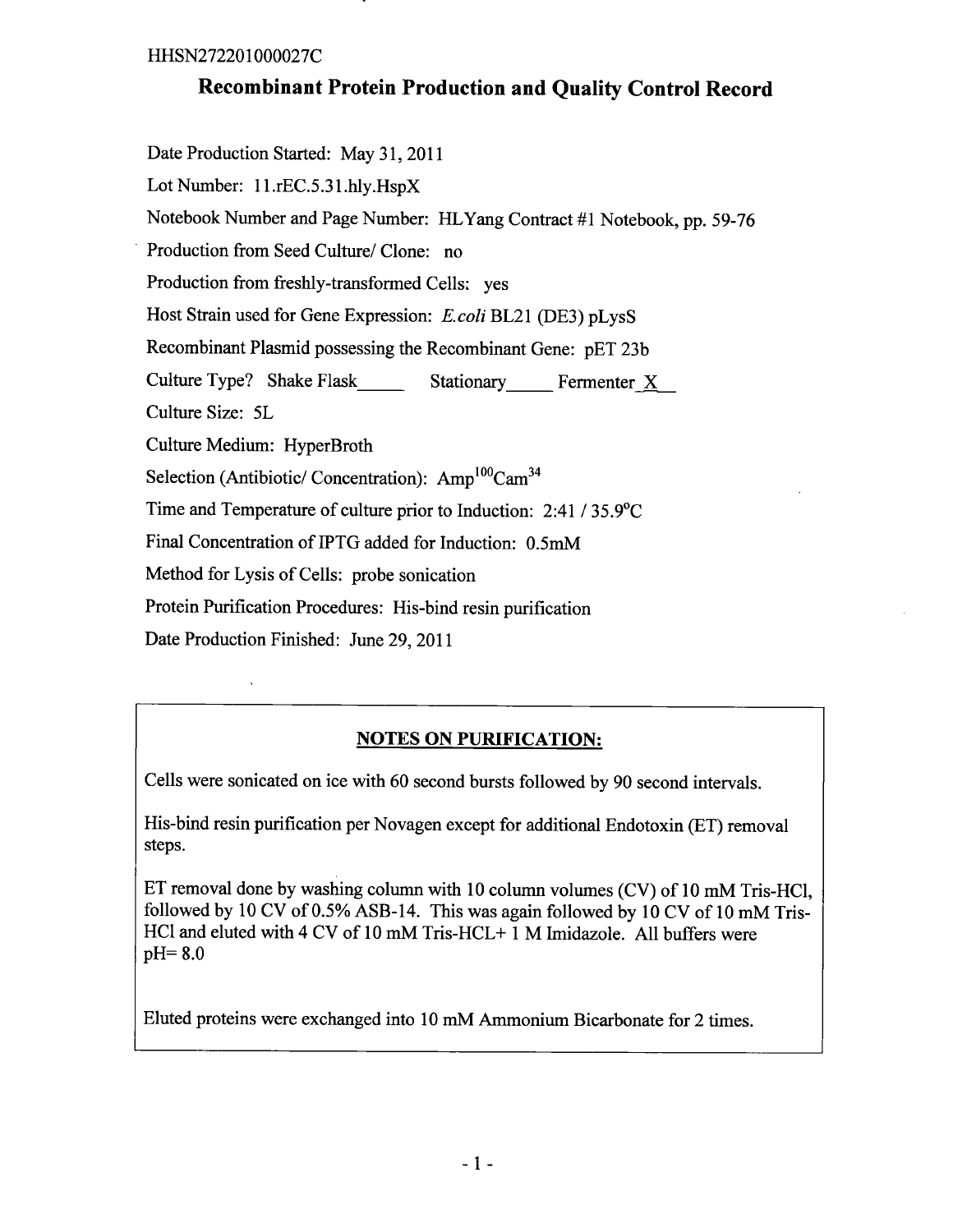# **Recombinant Protein Production and Quality Control Record**

Date Production Started: May 31, 2011 Lot Number: 11.rEC.5.31.hlv.HspX Notebook Number and Page Number: HLYang Contract #1 Notebook, pp. 59-76 Production from Seed Culture/ Clone: no Production from freshly-transformed Cells: yes Host Strain used for Gene Expression: E.coli BL21 (DE3) pLysS Recombinant Plasmid possessing the Recombinant Gene: pET 23b Culture Type? Shake Flask Stationary Fermenter X Culture Size: 5L Culture Medium: HyperBroth Selection (Antibiotic/ Concentration): Amp<sup>100</sup>Cam<sup>34</sup> Time and Temperature of culture prior to Induction:  $2:41 / 35.9^{\circ}$ C Final Concentration of IPTG added for Induction: 0.5mM Method for Lysis of Cells: probe sonication Protein Purification Procedures: His-bind resin purification Date Production Finished: June 29, 2011

# **NOTES ON PURIFICATION:**

Cells were sonicated on ice with 60 second bursts followed by 90 second intervals.

His-bind resin purification per Novagen except for additional Endotoxin (ET) removal steps.

ET removal done by washing column with 10 column volumes (CV) of 10 mM Tris-HCl, followed by 10 CV of 0.5% ASB-14. This was again followed by 10 CV of 10 mM Tris-HCl and eluted with 4 CV of 10 mM Tris-HCL+ 1 M Imidazole. All buffers were  $pH = 8.0$ 

Eluted proteins were exchanged into 10 mM Ammonium Bicarbonate for 2 times.